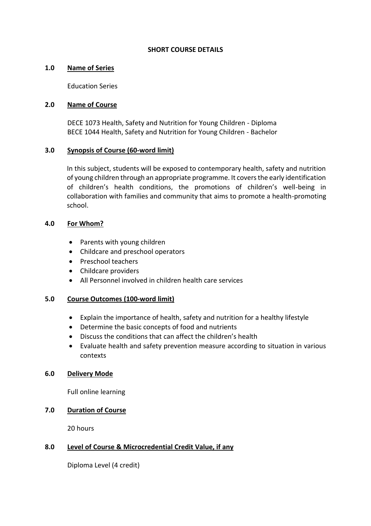#### **SHORT COURSE DETAILS**

## **1.0 Name of Series**

Education Series

## **2.0 Name of Course**

DECE 1073 Health, Safety and Nutrition for Young Children - Diploma BECE 1044 Health, Safety and Nutrition for Young Children - Bachelor

## **3.0 Synopsis of Course (60-word limit)**

In this subject, students will be exposed to contemporary health, safety and nutrition of young children through an appropriate programme. It covers the early identification of children's health conditions, the promotions of children's well-being in collaboration with families and community that aims to promote a health-promoting school.

## **4.0 For Whom?**

- Parents with young children
- Childcare and preschool operators
- Preschool teachers
- Childcare providers
- All Personnel involved in children health care services

## **5.0 Course Outcomes (100-word limit)**

- Explain the importance of health, safety and nutrition for a healthy lifestyle
- Determine the basic concepts of food and nutrients
- Discuss the conditions that can affect the children's health
- Evaluate health and safety prevention measure according to situation in various contexts

#### **6.0 Delivery Mode**

Full online learning

# **7.0 Duration of Course**

20 hours

## **8.0 Level of Course & Microcredential Credit Value, if any**

Diploma Level (4 credit)